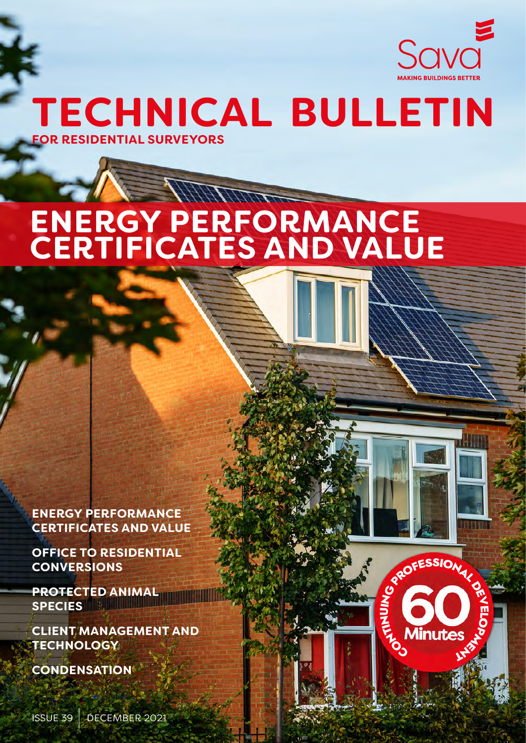

**TECHNICAL BULLETIN FOR RESIDENTIAL SURVEYORS**

# HART THE TIME **ENERGY PERFORMANCE CERTIFICATES AND VALUE**

1

 $\mathbf{e}_\mathbf{0}$  $\mathbf{F}_{\mathbf{L}}$  $\mathbf{z}$ 

UPROFESSIONAL DE

LLAS CO

**ENERGY PERFORMANCE CERTIFICATES AND VALUE**

**OFFICE TO RESIDENTIAL CONVERSIONS**

**PROTECTED ANIMAL SPECIES** 

**CLIENT MANAGEMENT AND TECHNOLOGY**

**CONDENSATION**

ISSUE 39 DECEMBER 2021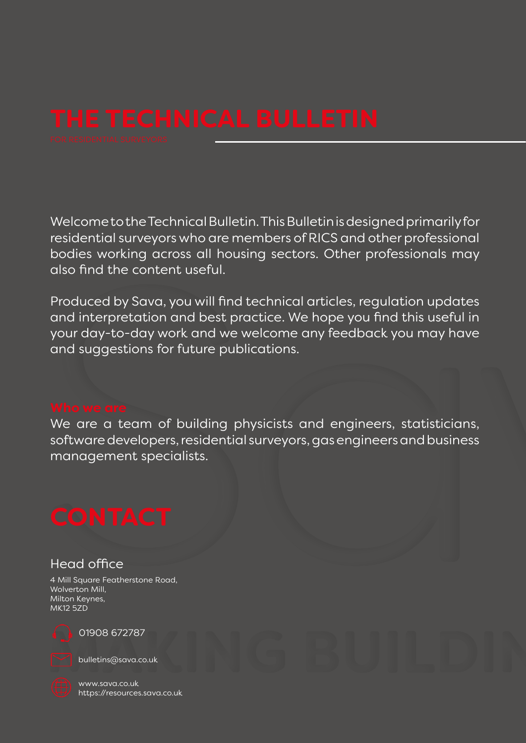Welcome to the Technical Bulletin. This Bulletin is designed primarily for residential surveyors who are members of RICS and other professional bodies working across all housing sectors. Other professionals may also find the content useful.

Produced by Sava, you will find technical articles, regulation updates and interpretation and best practice. We hope you find this useful in your day-to-day work and we welcome any feedback you may have and suggestions for future publications.

We are a team of building physicists and engineers, statisticians, software developers, residential surveyors, gas engineers and business management specialists.

# Head office

4 Mill Square Featherstone Road, Wolverton Mill, Milton Keynes, MK12 5ZD



01908 672787

bulletins@sava.co.uk

www.sava.co.uk https://resources.sava.co.uk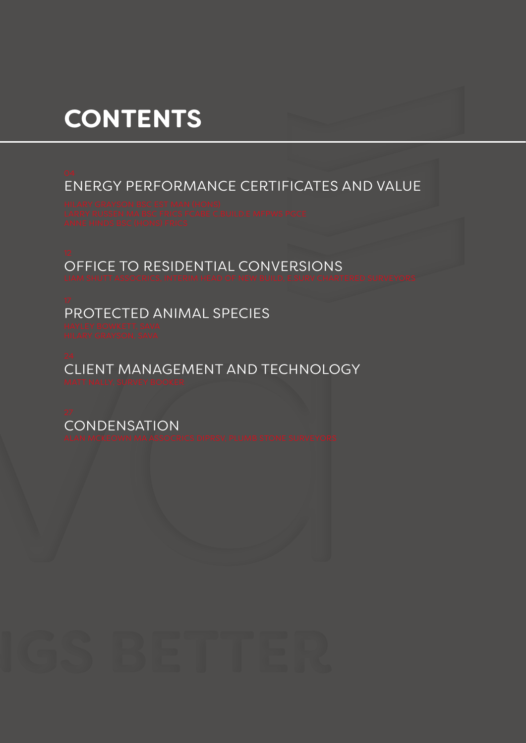# **CONTENTS**

ENERGY PERFORMANCE CERTIFICATES AND VALUE

OFFICE TO RESIDENTIAL CONVERSIONS

PROTECTED ANIMAL SPECIES

CLIENT MANAGEMENT AND TECHNOLOGY

**CONDENSATION**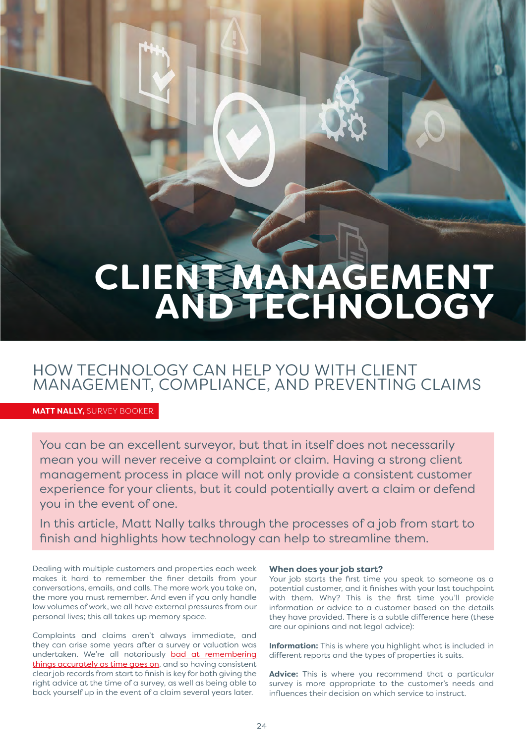# **CLIENT MANAGEMENT AND TECHNOLOGY**

# HOW TECHNOLOGY CAN HELP YOU WITH CLIENT MANAGEMENT, COMPLIANCE, AND PREVENTING CLAIMS

**TECHNICAL BULLETIN** ISSUE 39 DECEMBER 2021

**MATT NALLY,** SURVEY BOOKER

You can be an excellent surveyor, but that in itself does not necessarily mean you will never receive a complaint or claim. Having a strong client management process in place will not only provide a consistent customer experience for your clients, but it could potentially avert a claim or defend you in the event of one.

In this article, Matt Nally talks through the processes of a job from start to finish and highlights how technology can help to streamline them.

Dealing with multiple customers and properties each week makes it hard to remember the finer details from your conversations, emails, and calls. The more work you take on, the more you must remember. And even if you only handle low volumes of work, we all have external pressures from our personal lives; this all takes up memory space.

Complaints and claims aren't always immediate, and they can arise some years after a survey or valuation was undertaken. We're all notoriously [bad at remembering](https://www.verywellmind.com/forgetting-about-psychology-2795034#citation-3) [things accurately as time goes on](https://www.verywellmind.com/forgetting-about-psychology-2795034#citation-3), and so having consistent clear job records from start to finish is key for both giving the right advice at the time of a survey, as well as being able to back yourself up in the event of a claim several years later.

## **When does your job start?**

Your job starts the first time you speak to someone as a potential customer, and it finishes with your last touchpoint with them. Why? This is the first time you'll provide information or advice to a customer based on the details they have provided. There is a subtle difference here (these are our opinions and not legal advice):

**Information:** This is where you highlight what is included in different reports and the types of properties it suits.

**Advice:** This is where you recommend that a particular survey is more appropriate to the customer's needs and influences their decision on which service to instruct.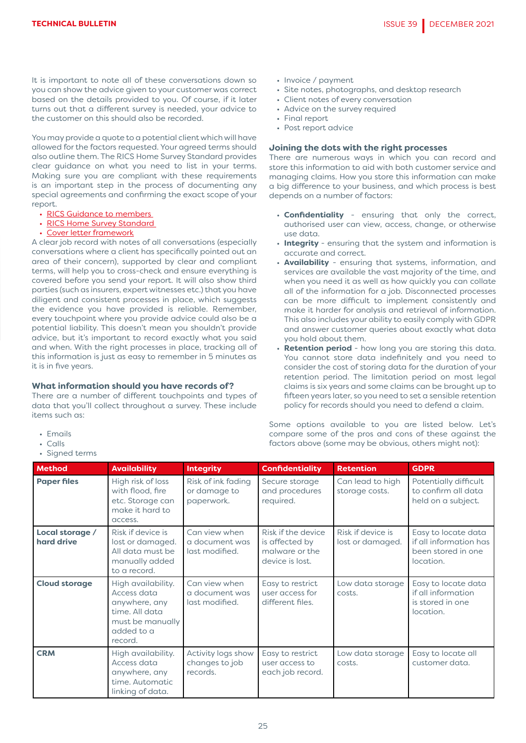It is important to note all of these conversations down so you can show the advice given to your customer was correct based on the details provided to you. Of course, if it later turns out that a different survey is needed, your advice to the customer on this should also be recorded.

You may provide a quote to a potential client which will have allowed for the factors requested. Your agreed terms should also outline them. The RICS Home Survey Standard provides clear guidance on what you need to list in your terms. Making sure you are compliant with these requirements is an important step in the process of documenting any special agreements and confirming the exact scope of your report.

- [RICS Guidance to members](https://www.rics.org/globalassets/rics-website/media/qualify/home-survey-standard---toe-guidance-for-members.pdf)
- [RICS Home Survey Standard](https://www.rics.org/globalassets/rics-website/media/qualify/home-survey-standard-nov-2020.pdf)
- [Cover letter framework](https://www.rics.org/globalassets/rics-website/media/upholding-professional-standards/regulation/media/terms-engagement-coverletter.pdf)

A clear job record with notes of all conversations (especially conversations where a client has specifically pointed out an area of their concern), supported by clear and compliant terms, will help you to cross-check and ensure everything is covered before you send your report. It will also show third parties (such as insurers, expert witnesses etc.) that you have diligent and consistent processes in place, which suggests the evidence you have provided is reliable. Remember, every touchpoint where you provide advice could also be a potential liability. This doesn't mean you shouldn't provide advice, but it's important to record exactly what you said and when. With the right processes in place, tracking all of this information is just as easy to remember in 5 minutes as it is in five years.

## **What information should you have records of?**

There are a number of different touchpoints and types of data that you'll collect throughout a survey. These include items such as:

- Emails
- Calls
- Signed terms
- Invoice / payment
- Site notes, photographs, and desktop research
- Client notes of every conversation
- Advice on the survey required
- Final report
- Post report advice

## **Joining the dots with the right processes**

There are numerous ways in which you can record and store this information to aid with both customer service and managing claims. How you store this information can make a big difference to your business, and which process is best depends on a number of factors:

- **Confidentiality** ensuring that only the correct, authorised user can view, access, change, or otherwise use data.
- **Integrity**  ensuring that the system and information is accurate and correct.
- **Availability** ensuring that systems, information, and services are available the vast majority of the time, and when you need it as well as how quickly you can collate all of the information for a job. Disconnected processes can be more difficult to implement consistently and make it harder for analysis and retrieval of information. This also includes your ability to easily comply with GDPR and answer customer queries about exactly what data you hold about them.
- **Retention period** how long you are storing this data. You cannot store data indefinitely and you need to consider the cost of storing data for the duration of your retention period. The limitation period on most legal claims is six years and some claims can be brought up to fifteen years later, so you need to set a sensible retention policy for records should you need to defend a claim.

Some options available to you are listed below. Let's compare some of the pros and cons of these against the factors above (some may be obvious, others might not):

| <b>Method</b>                 | <b>Availability</b>                                                                                               | <b>Integrity</b>                                  | <b>Confidentiality</b>                                                    | <b>Retention</b>                      | <b>GDPR</b>                                                                      |
|-------------------------------|-------------------------------------------------------------------------------------------------------------------|---------------------------------------------------|---------------------------------------------------------------------------|---------------------------------------|----------------------------------------------------------------------------------|
| <b>Paper files</b>            | High risk of loss<br>with flood, fire<br>etc. Storage can<br>make it hard to<br>access.                           | Risk of ink fading<br>or damage to<br>paperwork.  | Secure storage<br>and procedures<br>required.                             | Can lead to high<br>storage costs.    | Potentially difficult<br>to confirm all data<br>held on a subject.               |
| Local storage /<br>hard drive | Risk if device is<br>lost or damaged.<br>All data must be<br>manually added<br>to a record.                       | Can view when<br>a document was<br>last modified. | Risk if the device<br>is affected by<br>malware or the<br>device is lost. | Risk if device is<br>lost or damaged. | Easy to locate data<br>if all information has<br>been stored in one<br>location. |
| <b>Cloud storage</b>          | High availability.<br>Access data<br>anywhere, any<br>time. All data<br>must be manually<br>added to a<br>record. | Can view when<br>a document was<br>last modified. | Easy to restrict<br>user access for<br>different files.                   | Low data storage<br>costs.            | Easy to locate data<br>if all information<br>is stored in one<br>location.       |
| <b>CRM</b>                    | High availability.<br>Access data<br>anywhere, any<br>time. Automatic<br>linking of data.                         | Activity logs show<br>changes to job<br>records.  | Easy to restrict<br>user access to<br>each job record.                    | Low data storage<br>costs.            | Easy to locate all<br>customer data.                                             |